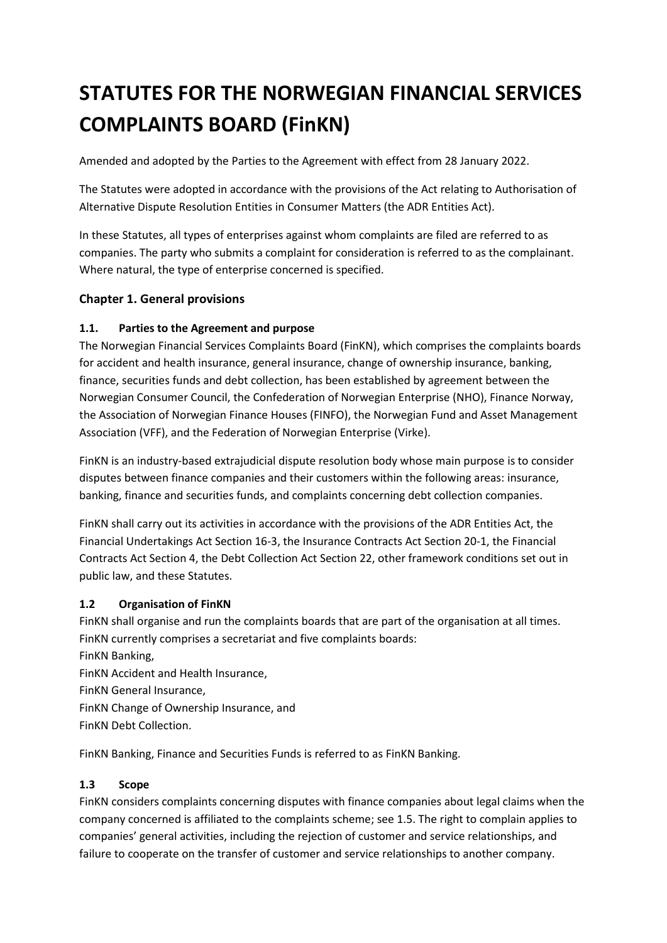# **STATUTES FOR THE NORWEGIAN FINANCIAL SERVICES COMPLAINTS BOARD (FinKN)**

Amended and adopted by the Parties to the Agreement with effect from 28 January 2022.

The Statutes were adopted in accordance with the provisions of the Act relating to Authorisation of Alternative Dispute Resolution Entities in Consumer Matters (the ADR Entities Act).

In these Statutes, all types of enterprises against whom complaints are filed are referred to as companies. The party who submits a complaint for consideration is referred to as the complainant. Where natural, the type of enterprise concerned is specified.

## **Chapter 1. General provisions**

#### **1.1. Parties to the Agreement and purpose**

The Norwegian Financial Services Complaints Board (FinKN), which comprises the complaints boards for accident and health insurance, general insurance, change of ownership insurance, banking, finance, securities funds and debt collection, has been established by agreement between the Norwegian Consumer Council, the Confederation of Norwegian Enterprise (NHO), Finance Norway, the Association of Norwegian Finance Houses (FINFO), the Norwegian Fund and Asset Management Association (VFF), and the Federation of Norwegian Enterprise (Virke).

FinKN is an industry-based extrajudicial dispute resolution body whose main purpose is to consider disputes between finance companies and their customers within the following areas: insurance, banking, finance and securities funds, and complaints concerning debt collection companies.

FinKN shall carry out its activities in accordance with the provisions of the ADR Entities Act, the Financial Undertakings Act Section 16-3, the Insurance Contracts Act Section 20-1, the Financial Contracts Act Section 4, the Debt Collection Act Section 22, other framework conditions set out in public law, and these Statutes.

#### **1.2 Organisation of FinKN**

FinKN shall organise and run the complaints boards that are part of the organisation at all times. FinKN currently comprises a secretariat and five complaints boards:

FinKN Banking,

FinKN Accident and Health Insurance,

FinKN General Insurance,

FinKN Change of Ownership Insurance, and

FinKN Debt Collection.

FinKN Banking, Finance and Securities Funds is referred to as FinKN Banking.

#### **1.3 Scope**

FinKN considers complaints concerning disputes with finance companies about legal claims when the company concerned is affiliated to the complaints scheme; see 1.5. The right to complain applies to companies' general activities, including the rejection of customer and service relationships, and failure to cooperate on the transfer of customer and service relationships to another company.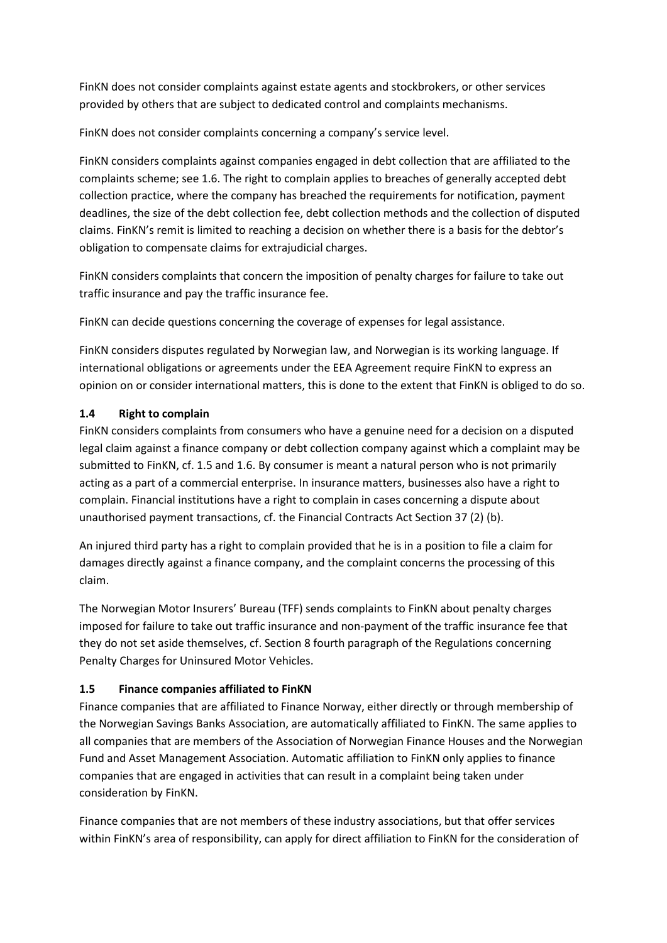FinKN does not consider complaints against estate agents and stockbrokers, or other services provided by others that are subject to dedicated control and complaints mechanisms.

FinKN does not consider complaints concerning a company's service level.

FinKN considers complaints against companies engaged in debt collection that are affiliated to the complaints scheme; see 1.6. The right to complain applies to breaches of generally accepted debt collection practice, where the company has breached the requirements for notification, payment deadlines, the size of the debt collection fee, debt collection methods and the collection of disputed claims. FinKN's remit is limited to reaching a decision on whether there is a basis for the debtor's obligation to compensate claims for extrajudicial charges.

FinKN considers complaints that concern the imposition of penalty charges for failure to take out traffic insurance and pay the traffic insurance fee.

FinKN can decide questions concerning the coverage of expenses for legal assistance.

FinKN considers disputes regulated by Norwegian law, and Norwegian is its working language. If international obligations or agreements under the EEA Agreement require FinKN to express an opinion on or consider international matters, this is done to the extent that FinKN is obliged to do so.

#### **1.4 Right to complain**

FinKN considers complaints from consumers who have a genuine need for a decision on a disputed legal claim against a finance company or debt collection company against which a complaint may be submitted to FinKN, cf. 1.5 and 1.6. By consumer is meant a natural person who is not primarily acting as a part of a commercial enterprise. In insurance matters, businesses also have a right to complain. Financial institutions have a right to complain in cases concerning a dispute about unauthorised payment transactions, cf. the Financial Contracts Act Section 37 (2) (b).

An injured third party has a right to complain provided that he is in a position to file a claim for damages directly against a finance company, and the complaint concerns the processing of this claim.

The Norwegian Motor Insurers' Bureau (TFF) sends complaints to FinKN about penalty charges imposed for failure to take out traffic insurance and non-payment of the traffic insurance fee that they do not set aside themselves, cf. Section 8 fourth paragraph of the Regulations concerning Penalty Charges for Uninsured Motor Vehicles.

## **1.5 Finance companies affiliated to FinKN**

Finance companies that are affiliated to Finance Norway, either directly or through membership of the Norwegian Savings Banks Association, are automatically affiliated to FinKN. The same applies to all companies that are members of the Association of Norwegian Finance Houses and the Norwegian Fund and Asset Management Association. Automatic affiliation to FinKN only applies to finance companies that are engaged in activities that can result in a complaint being taken under consideration by FinKN.

Finance companies that are not members of these industry associations, but that offer services within FinKN's area of responsibility, can apply for direct affiliation to FinKN for the consideration of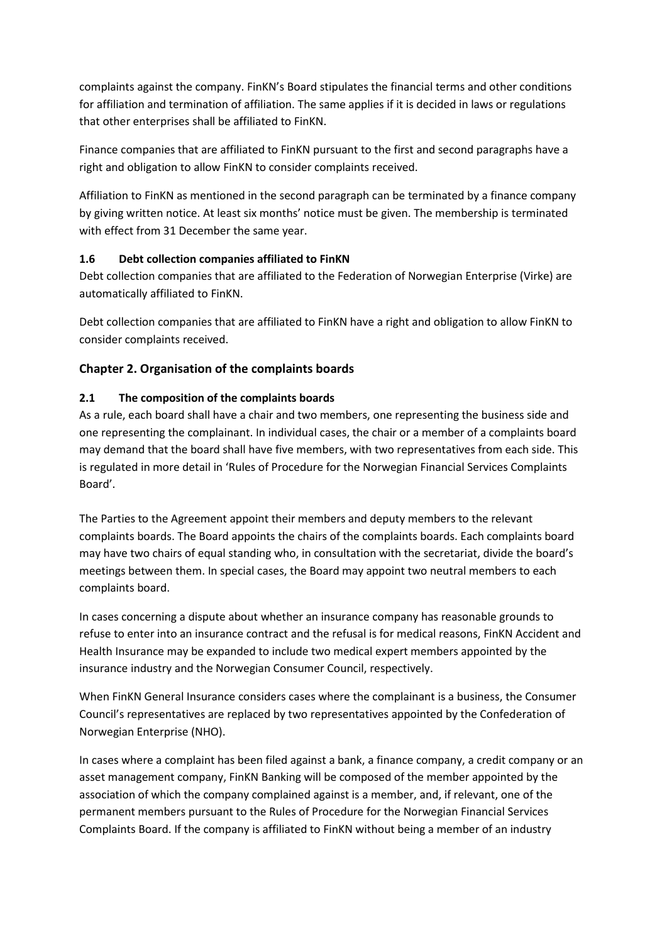complaints against the company. FinKN's Board stipulates the financial terms and other conditions for affiliation and termination of affiliation. The same applies if it is decided in laws or regulations that other enterprises shall be affiliated to FinKN.

Finance companies that are affiliated to FinKN pursuant to the first and second paragraphs have a right and obligation to allow FinKN to consider complaints received.

Affiliation to FinKN as mentioned in the second paragraph can be terminated by a finance company by giving written notice. At least six months' notice must be given. The membership is terminated with effect from 31 December the same year.

#### **1.6 Debt collection companies affiliated to FinKN**

Debt collection companies that are affiliated to the Federation of Norwegian Enterprise (Virke) are automatically affiliated to FinKN.

Debt collection companies that are affiliated to FinKN have a right and obligation to allow FinKN to consider complaints received.

## **Chapter 2. Organisation of the complaints boards**

#### **2.1 The composition of the complaints boards**

As a rule, each board shall have a chair and two members, one representing the business side and one representing the complainant. In individual cases, the chair or a member of a complaints board may demand that the board shall have five members, with two representatives from each side. This is regulated in more detail in 'Rules of Procedure for the Norwegian Financial Services Complaints Board'.

The Parties to the Agreement appoint their members and deputy members to the relevant complaints boards. The Board appoints the chairs of the complaints boards. Each complaints board may have two chairs of equal standing who, in consultation with the secretariat, divide the board's meetings between them. In special cases, the Board may appoint two neutral members to each complaints board.

In cases concerning a dispute about whether an insurance company has reasonable grounds to refuse to enter into an insurance contract and the refusal is for medical reasons, FinKN Accident and Health Insurance may be expanded to include two medical expert members appointed by the insurance industry and the Norwegian Consumer Council, respectively.

When FinKN General Insurance considers cases where the complainant is a business, the Consumer Council's representatives are replaced by two representatives appointed by the Confederation of Norwegian Enterprise (NHO).

In cases where a complaint has been filed against a bank, a finance company, a credit company or an asset management company, FinKN Banking will be composed of the member appointed by the association of which the company complained against is a member, and, if relevant, one of the permanent members pursuant to the Rules of Procedure for the Norwegian Financial Services Complaints Board. If the company is affiliated to FinKN without being a member of an industry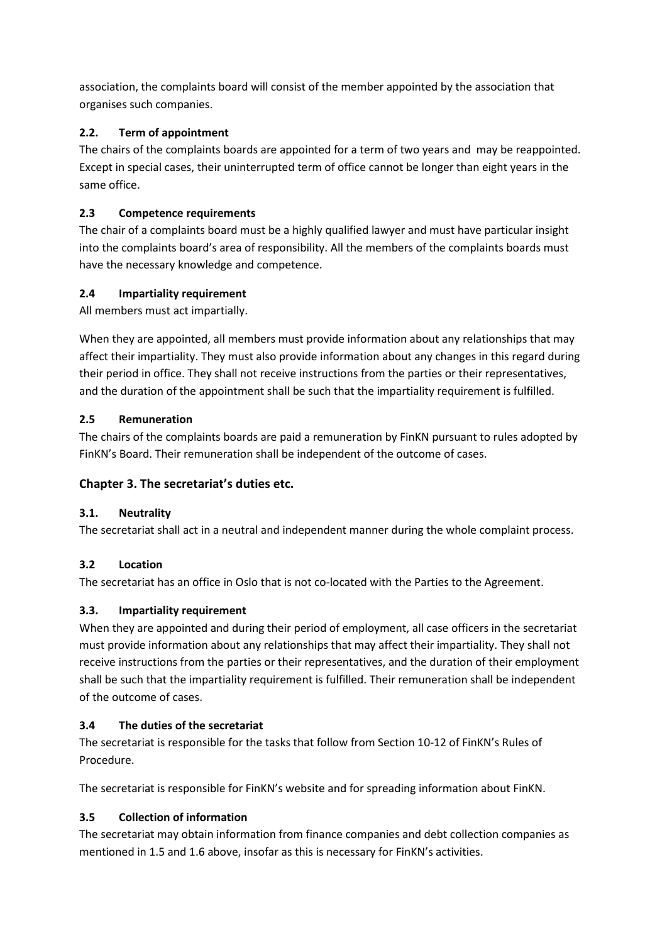association, the complaints board will consist of the member appointed by the association that organises such companies.

## **2.2. Term of appointment**

The chairs of the complaints boards are appointed for a term of two years and may be reappointed. Except in special cases, their uninterrupted term of office cannot be longer than eight years in the same office.

# **2.3 Competence requirements**

The chair of a complaints board must be a highly qualified lawyer and must have particular insight into the complaints board's area of responsibility. All the members of the complaints boards must have the necessary knowledge and competence.

# **2.4 Impartiality requirement**

All members must act impartially.

When they are appointed, all members must provide information about any relationships that may affect their impartiality. They must also provide information about any changes in this regard during their period in office. They shall not receive instructions from the parties or their representatives, and the duration of the appointment shall be such that the impartiality requirement is fulfilled.

## **2.5 Remuneration**

The chairs of the complaints boards are paid a remuneration by FinKN pursuant to rules adopted by FinKN's Board. Their remuneration shall be independent of the outcome of cases.

# **Chapter 3. The secretariat's duties etc.**

## **3.1. Neutrality**

The secretariat shall act in a neutral and independent manner during the whole complaint process.

## **3.2 Location**

The secretariat has an office in Oslo that is not co-located with the Parties to the Agreement.

# **3.3. Impartiality requirement**

When they are appointed and during their period of employment, all case officers in the secretariat must provide information about any relationships that may affect their impartiality. They shall not receive instructions from the parties or their representatives, and the duration of their employment shall be such that the impartiality requirement is fulfilled. Their remuneration shall be independent of the outcome of cases.

# **3.4 The duties of the secretariat**

The secretariat is responsible for the tasks that follow from Section 10-12 of FinKN's Rules of Procedure.

The secretariat is responsible for FinKN's website and for spreading information about FinKN.

# **3.5 Collection of information**

The secretariat may obtain information from finance companies and debt collection companies as mentioned in 1.5 and 1.6 above, insofar as this is necessary for FinKN's activities.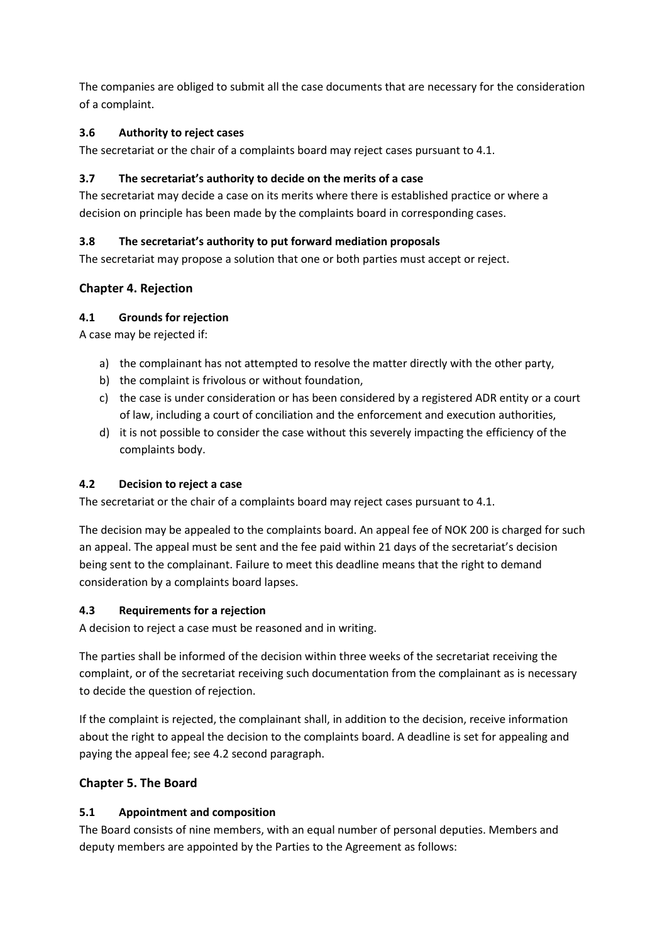The companies are obliged to submit all the case documents that are necessary for the consideration of a complaint.

## **3.6 Authority to reject cases**

The secretariat or the chair of a complaints board may reject cases pursuant to 4.1.

#### **3.7 The secretariat's authority to decide on the merits of a case**

The secretariat may decide a case on its merits where there is established practice or where a decision on principle has been made by the complaints board in corresponding cases.

#### **3.8 The secretariat's authority to put forward mediation proposals**

The secretariat may propose a solution that one or both parties must accept or reject.

#### **Chapter 4. Rejection**

#### **4.1 Grounds for rejection**

A case may be rejected if:

- a) the complainant has not attempted to resolve the matter directly with the other party,
- b) the complaint is frivolous or without foundation,
- c) the case is under consideration or has been considered by a registered ADR entity or a court of law, including a court of conciliation and the enforcement and execution authorities,
- d) it is not possible to consider the case without this severely impacting the efficiency of the complaints body.

#### **4.2 Decision to reject a case**

The secretariat or the chair of a complaints board may reject cases pursuant to 4.1.

The decision may be appealed to the complaints board. An appeal fee of NOK 200 is charged for such an appeal. The appeal must be sent and the fee paid within 21 days of the secretariat's decision being sent to the complainant. Failure to meet this deadline means that the right to demand consideration by a complaints board lapses.

#### **4.3 Requirements for a rejection**

A decision to reject a case must be reasoned and in writing.

The parties shall be informed of the decision within three weeks of the secretariat receiving the complaint, or of the secretariat receiving such documentation from the complainant as is necessary to decide the question of rejection.

If the complaint is rejected, the complainant shall, in addition to the decision, receive information about the right to appeal the decision to the complaints board. A deadline is set for appealing and paying the appeal fee; see 4.2 second paragraph.

## **Chapter 5. The Board**

#### **5.1 Appointment and composition**

The Board consists of nine members, with an equal number of personal deputies. Members and deputy members are appointed by the Parties to the Agreement as follows: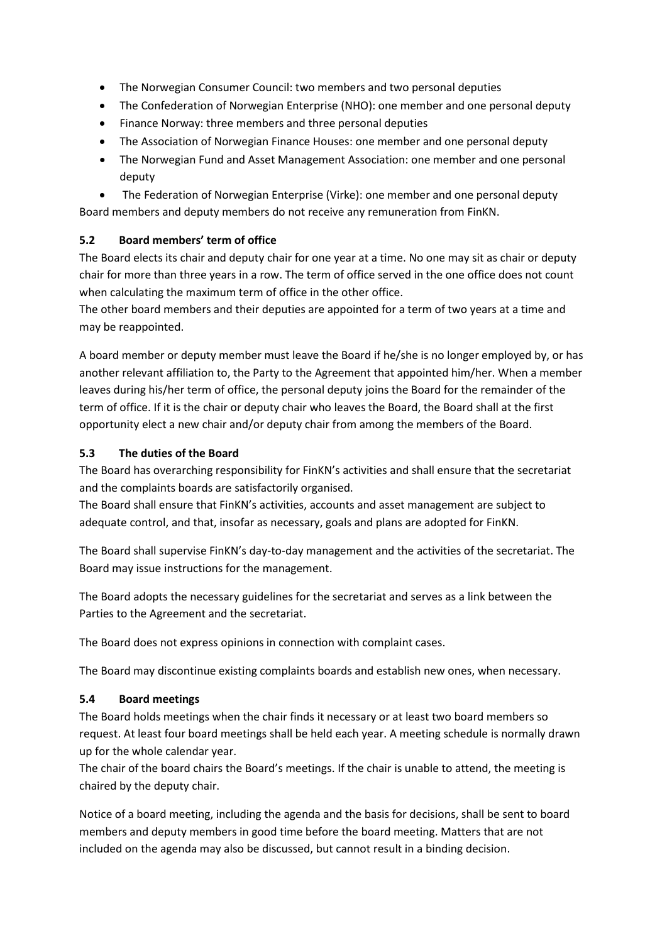- The Norwegian Consumer Council: two members and two personal deputies
- The Confederation of Norwegian Enterprise (NHO): one member and one personal deputy
- Finance Norway: three members and three personal deputies
- The Association of Norwegian Finance Houses: one member and one personal deputy
- The Norwegian Fund and Asset Management Association: one member and one personal deputy

• The Federation of Norwegian Enterprise (Virke): one member and one personal deputy Board members and deputy members do not receive any remuneration from FinKN.

#### **5.2 Board members' term of office**

The Board elects its chair and deputy chair for one year at a time. No one may sit as chair or deputy chair for more than three years in a row. The term of office served in the one office does not count when calculating the maximum term of office in the other office.

The other board members and their deputies are appointed for a term of two years at a time and may be reappointed.

A board member or deputy member must leave the Board if he/she is no longer employed by, or has another relevant affiliation to, the Party to the Agreement that appointed him/her. When a member leaves during his/her term of office, the personal deputy joins the Board for the remainder of the term of office. If it is the chair or deputy chair who leaves the Board, the Board shall at the first opportunity elect a new chair and/or deputy chair from among the members of the Board.

#### **5.3 The duties of the Board**

The Board has overarching responsibility for FinKN's activities and shall ensure that the secretariat and the complaints boards are satisfactorily organised.

The Board shall ensure that FinKN's activities, accounts and asset management are subject to adequate control, and that, insofar as necessary, goals and plans are adopted for FinKN.

The Board shall supervise FinKN's day-to-day management and the activities of the secretariat. The Board may issue instructions for the management.

The Board adopts the necessary guidelines for the secretariat and serves as a link between the Parties to the Agreement and the secretariat.

The Board does not express opinions in connection with complaint cases.

The Board may discontinue existing complaints boards and establish new ones, when necessary.

#### **5.4 Board meetings**

The Board holds meetings when the chair finds it necessary or at least two board members so request. At least four board meetings shall be held each year. A meeting schedule is normally drawn up for the whole calendar year.

The chair of the board chairs the Board's meetings. If the chair is unable to attend, the meeting is chaired by the deputy chair.

Notice of a board meeting, including the agenda and the basis for decisions, shall be sent to board members and deputy members in good time before the board meeting. Matters that are not included on the agenda may also be discussed, but cannot result in a binding decision.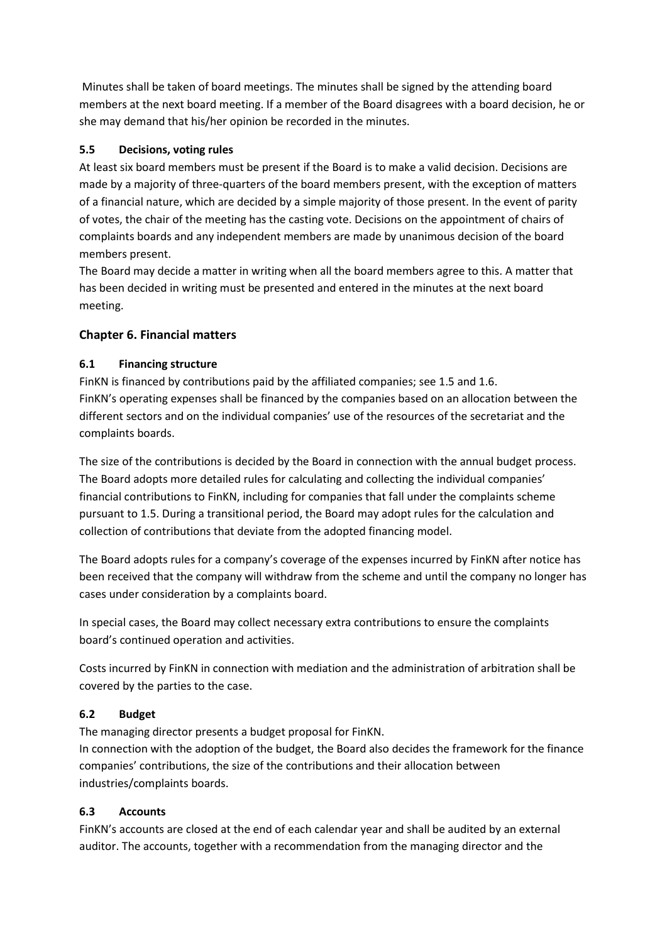Minutes shall be taken of board meetings. The minutes shall be signed by the attending board members at the next board meeting. If a member of the Board disagrees with a board decision, he or she may demand that his/her opinion be recorded in the minutes.

## **5.5 Decisions, voting rules**

At least six board members must be present if the Board is to make a valid decision. Decisions are made by a majority of three-quarters of the board members present, with the exception of matters of a financial nature, which are decided by a simple majority of those present. In the event of parity of votes, the chair of the meeting has the casting vote. Decisions on the appointment of chairs of complaints boards and any independent members are made by unanimous decision of the board members present.

The Board may decide a matter in writing when all the board members agree to this. A matter that has been decided in writing must be presented and entered in the minutes at the next board meeting.

#### **Chapter 6. Financial matters**

#### **6.1 Financing structure**

FinKN is financed by contributions paid by the affiliated companies; see 1.5 and 1.6. FinKN's operating expenses shall be financed by the companies based on an allocation between the different sectors and on the individual companies' use of the resources of the secretariat and the complaints boards.

The size of the contributions is decided by the Board in connection with the annual budget process. The Board adopts more detailed rules for calculating and collecting the individual companies' financial contributions to FinKN, including for companies that fall under the complaints scheme pursuant to 1.5. During a transitional period, the Board may adopt rules for the calculation and collection of contributions that deviate from the adopted financing model.

The Board adopts rules for a company's coverage of the expenses incurred by FinKN after notice has been received that the company will withdraw from the scheme and until the company no longer has cases under consideration by a complaints board.

In special cases, the Board may collect necessary extra contributions to ensure the complaints board's continued operation and activities.

Costs incurred by FinKN in connection with mediation and the administration of arbitration shall be covered by the parties to the case.

## **6.2 Budget**

The managing director presents a budget proposal for FinKN. In connection with the adoption of the budget, the Board also decides the framework for the finance companies' contributions, the size of the contributions and their allocation between industries/complaints boards.

## **6.3 Accounts**

FinKN's accounts are closed at the end of each calendar year and shall be audited by an external auditor. The accounts, together with a recommendation from the managing director and the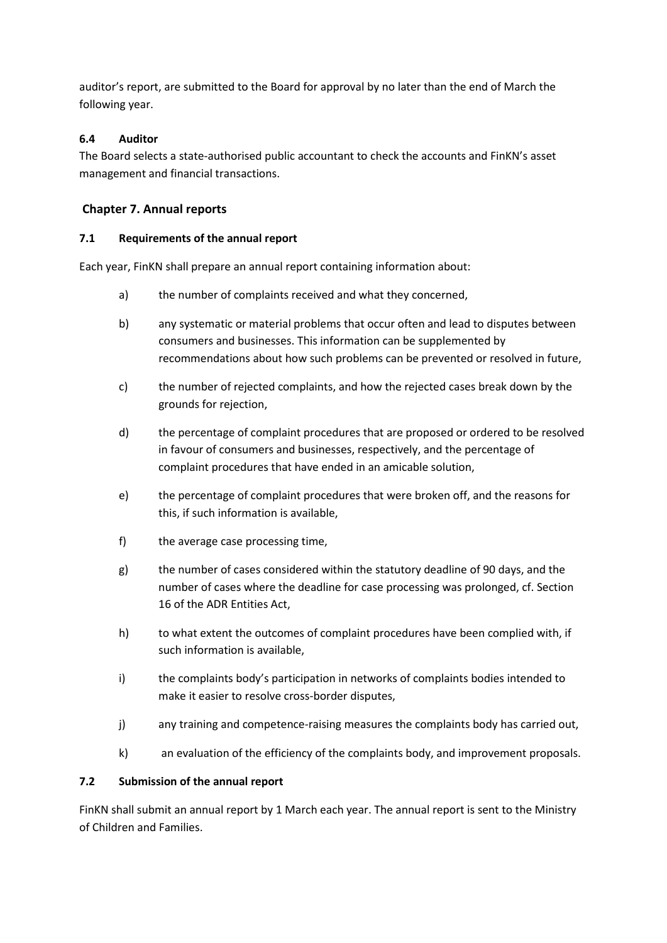auditor's report, are submitted to the Board for approval by no later than the end of March the following year.

#### **6.4 Auditor**

The Board selects a state-authorised public accountant to check the accounts and FinKN's asset management and financial transactions.

## **Chapter 7. Annual reports**

#### **7.1 Requirements of the annual report**

Each year, FinKN shall prepare an annual report containing information about:

- a) the number of complaints received and what they concerned,
- b) any systematic or material problems that occur often and lead to disputes between consumers and businesses. This information can be supplemented by recommendations about how such problems can be prevented or resolved in future,
- c) the number of rejected complaints, and how the rejected cases break down by the grounds for rejection,
- d) the percentage of complaint procedures that are proposed or ordered to be resolved in favour of consumers and businesses, respectively, and the percentage of complaint procedures that have ended in an amicable solution,
- e) the percentage of complaint procedures that were broken off, and the reasons for this, if such information is available,
- f) the average case processing time,
- g) the number of cases considered within the statutory deadline of 90 days, and the number of cases where the deadline for case processing was prolonged, cf. Section 16 of the ADR Entities Act,
- h) to what extent the outcomes of complaint procedures have been complied with, if such information is available,
- i) the complaints body's participation in networks of complaints bodies intended to make it easier to resolve cross-border disputes,
- j) any training and competence-raising measures the complaints body has carried out,
- k) an evaluation of the efficiency of the complaints body, and improvement proposals.

#### **7.2 Submission of the annual report**

FinKN shall submit an annual report by 1 March each year. The annual report is sent to the Ministry of Children and Families.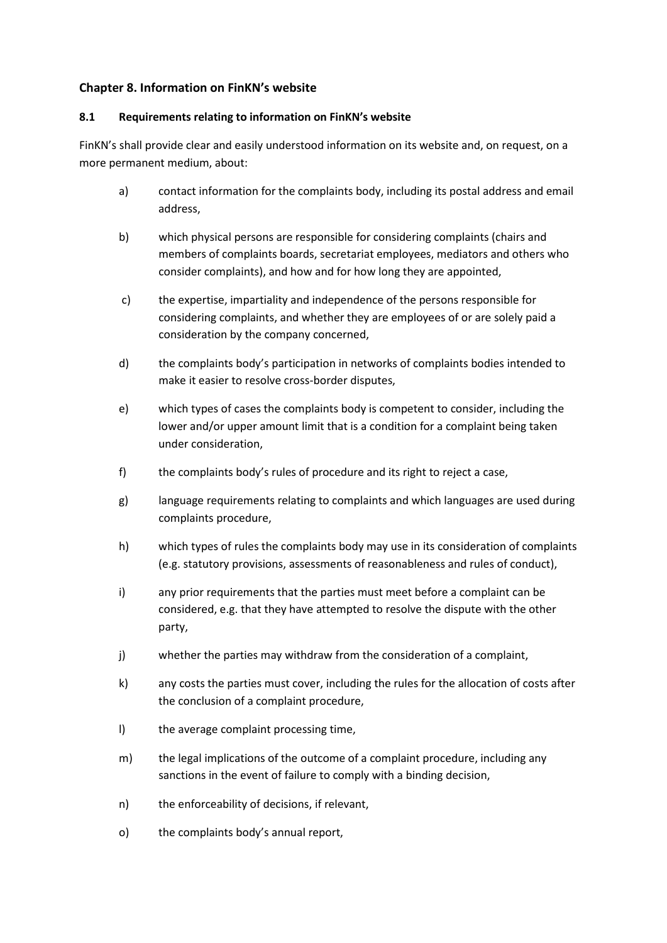#### **Chapter 8. Information on FinKN's website**

#### **8.1 Requirements relating to information on FinKN's website**

FinKN's shall provide clear and easily understood information on its website and, on request, on a more permanent medium, about:

- a) contact information for the complaints body, including its postal address and email address,
- b) which physical persons are responsible for considering complaints (chairs and members of complaints boards, secretariat employees, mediators and others who consider complaints), and how and for how long they are appointed,
- c) the expertise, impartiality and independence of the persons responsible for considering complaints, and whether they are employees of or are solely paid a consideration by the company concerned,
- d) the complaints body's participation in networks of complaints bodies intended to make it easier to resolve cross-border disputes,
- e) which types of cases the complaints body is competent to consider, including the lower and/or upper amount limit that is a condition for a complaint being taken under consideration,
- f) the complaints body's rules of procedure and its right to reject a case,
- g) language requirements relating to complaints and which languages are used during complaints procedure,
- h) which types of rules the complaints body may use in its consideration of complaints (e.g. statutory provisions, assessments of reasonableness and rules of conduct),
- i) any prior requirements that the parties must meet before a complaint can be considered, e.g. that they have attempted to resolve the dispute with the other party,
- j) whether the parties may withdraw from the consideration of a complaint,
- k) any costs the parties must cover, including the rules for the allocation of costs after the conclusion of a complaint procedure,
- l) the average complaint processing time,
- m) the legal implications of the outcome of a complaint procedure, including any sanctions in the event of failure to comply with a binding decision,
- n) the enforceability of decisions, if relevant,
- o) the complaints body's annual report,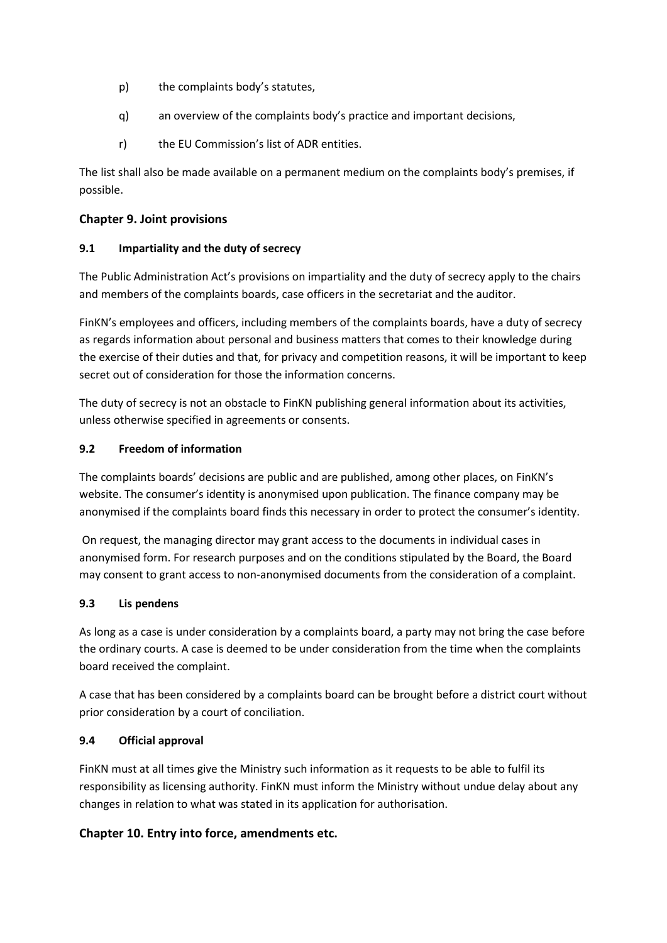- p) the complaints body's statutes,
- q) an overview of the complaints body's practice and important decisions,
- r) the EU Commission's list of ADR entities.

The list shall also be made available on a permanent medium on the complaints body's premises, if possible.

#### **Chapter 9. Joint provisions**

#### **9.1 Impartiality and the duty of secrecy**

The Public Administration Act's provisions on impartiality and the duty of secrecy apply to the chairs and members of the complaints boards, case officers in the secretariat and the auditor.

FinKN's employees and officers, including members of the complaints boards, have a duty of secrecy as regards information about personal and business matters that comes to their knowledge during the exercise of their duties and that, for privacy and competition reasons, it will be important to keep secret out of consideration for those the information concerns.

The duty of secrecy is not an obstacle to FinKN publishing general information about its activities, unless otherwise specified in agreements or consents.

#### **9.2 Freedom of information**

The complaints boards' decisions are public and are published, among other places, on FinKN's website. The consumer's identity is anonymised upon publication. The finance company may be anonymised if the complaints board finds this necessary in order to protect the consumer's identity.

On request, the managing director may grant access to the documents in individual cases in anonymised form. For research purposes and on the conditions stipulated by the Board, the Board may consent to grant access to non-anonymised documents from the consideration of a complaint.

#### **9.3 Lis pendens**

As long as a case is under consideration by a complaints board, a party may not bring the case before the ordinary courts. A case is deemed to be under consideration from the time when the complaints board received the complaint.

A case that has been considered by a complaints board can be brought before a district court without prior consideration by a court of conciliation.

## **9.4 Official approval**

FinKN must at all times give the Ministry such information as it requests to be able to fulfil its responsibility as licensing authority. FinKN must inform the Ministry without undue delay about any changes in relation to what was stated in its application for authorisation.

## **Chapter 10. Entry into force, amendments etc.**